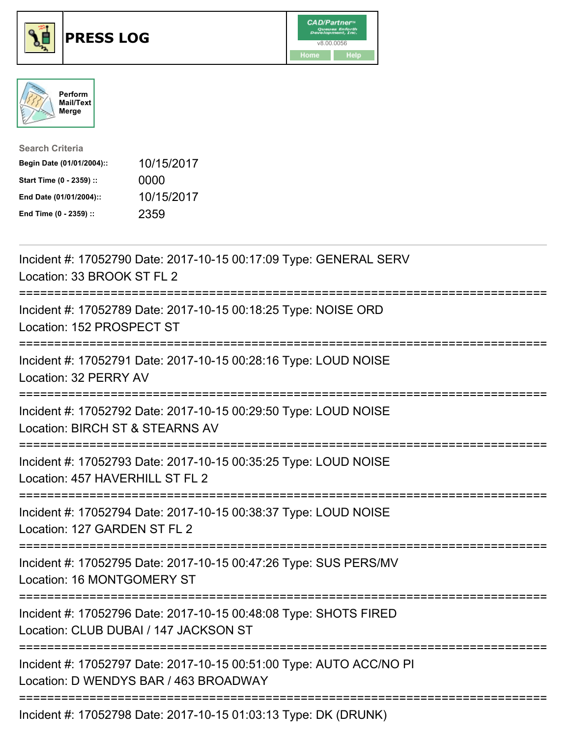





| <b>Search Criteria</b>    |            |
|---------------------------|------------|
| Begin Date (01/01/2004):: | 10/15/2017 |
| Start Time (0 - 2359) ::  | 0000       |
| End Date (01/01/2004)::   | 10/15/2017 |
| End Time (0 - 2359) ::    | 2359       |

| Incident #: 17052790 Date: 2017-10-15 00:17:09 Type: GENERAL SERV<br>Location: 33 BROOK ST FL 2                                         |
|-----------------------------------------------------------------------------------------------------------------------------------------|
| Incident #: 17052789 Date: 2017-10-15 00:18:25 Type: NOISE ORD<br>Location: 152 PROSPECT ST                                             |
| Incident #: 17052791 Date: 2017-10-15 00:28:16 Type: LOUD NOISE<br>Location: 32 PERRY AV                                                |
| Incident #: 17052792 Date: 2017-10-15 00:29:50 Type: LOUD NOISE<br>Location: BIRCH ST & STEARNS AV                                      |
| Incident #: 17052793 Date: 2017-10-15 00:35:25 Type: LOUD NOISE<br>Location: 457 HAVERHILL ST FL 2                                      |
| Incident #: 17052794 Date: 2017-10-15 00:38:37 Type: LOUD NOISE<br>Location: 127 GARDEN ST FL 2<br>:=================================== |
| Incident #: 17052795 Date: 2017-10-15 00:47:26 Type: SUS PERS/MV<br>Location: 16 MONTGOMERY ST                                          |
| Incident #: 17052796 Date: 2017-10-15 00:48:08 Type: SHOTS FIRED<br>Location: CLUB DUBAI / 147 JACKSON ST                               |
| Incident #: 17052797 Date: 2017-10-15 00:51:00 Type: AUTO ACC/NO PI<br>Location: D WENDYS BAR / 463 BROADWAY                            |
| $1.11.1$ $1.1.47070700001$ $0.47.10.170100000$ $0.407$ $0.10100000$                                                                     |

Incident #: 17052798 Date: 2017-10-15 01:03:13 Type: DK (DRUNK)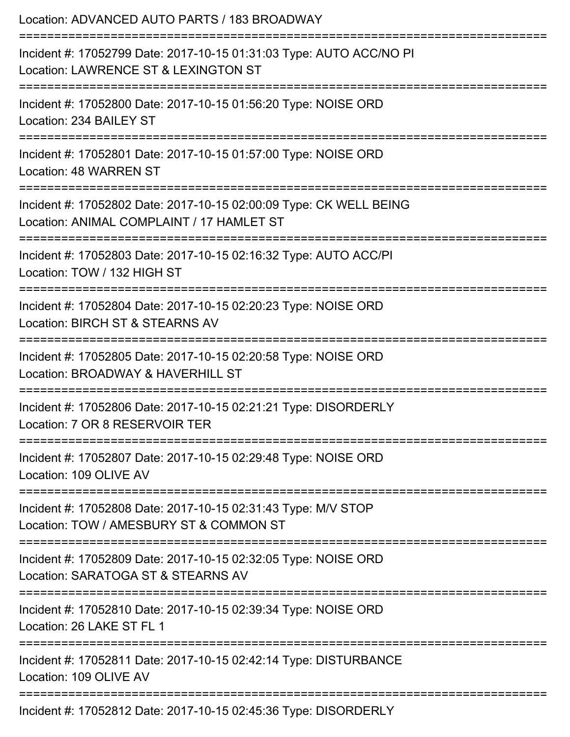| Location: ADVANCED AUTO PARTS / 183 BROADWAY<br>==============================                                                                                             |
|----------------------------------------------------------------------------------------------------------------------------------------------------------------------------|
| Incident #: 17052799 Date: 2017-10-15 01:31:03 Type: AUTO ACC/NO PI<br>Location: LAWRENCE ST & LEXINGTON ST                                                                |
| Incident #: 17052800 Date: 2017-10-15 01:56:20 Type: NOISE ORD<br>Location: 234 BAILEY ST<br>======================================<br>----------------------------------- |
| Incident #: 17052801 Date: 2017-10-15 01:57:00 Type: NOISE ORD<br>Location: 48 WARREN ST                                                                                   |
| Incident #: 17052802 Date: 2017-10-15 02:00:09 Type: CK WELL BEING<br>Location: ANIMAL COMPLAINT / 17 HAMLET ST                                                            |
| Incident #: 17052803 Date: 2017-10-15 02:16:32 Type: AUTO ACC/PI<br>Location: TOW / 132 HIGH ST                                                                            |
| Incident #: 17052804 Date: 2017-10-15 02:20:23 Type: NOISE ORD<br>Location: BIRCH ST & STEARNS AV                                                                          |
| Incident #: 17052805 Date: 2017-10-15 02:20:58 Type: NOISE ORD<br>Location: BROADWAY & HAVERHILL ST                                                                        |
| Incident #: 17052806 Date: 2017-10-15 02:21:21 Type: DISORDERLY<br>Location: 7 OR 8 RESERVOIR TER                                                                          |
| Incident #: 17052807 Date: 2017-10-15 02:29:48 Type: NOISE ORD<br>Location: 109 OLIVE AV                                                                                   |
| Incident #: 17052808 Date: 2017-10-15 02:31:43 Type: M/V STOP<br>Location: TOW / AMESBURY ST & COMMON ST                                                                   |
| Incident #: 17052809 Date: 2017-10-15 02:32:05 Type: NOISE ORD<br>Location: SARATOGA ST & STEARNS AV                                                                       |
| Incident #: 17052810 Date: 2017-10-15 02:39:34 Type: NOISE ORD<br>Location: 26 LAKE ST FL 1                                                                                |
| Incident #: 17052811 Date: 2017-10-15 02:42:14 Type: DISTURBANCE<br>Location: 109 OLIVE AV                                                                                 |
| Incident #: 17052812 Date: 2017-10-15 02:45:36 Type: DISORDERLY                                                                                                            |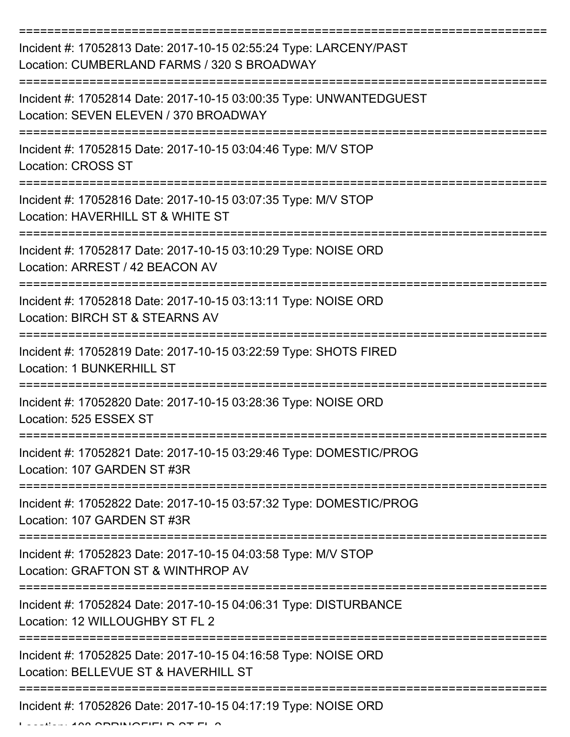| Incident #: 17052813 Date: 2017-10-15 02:55:24 Type: LARCENY/PAST<br>Location: CUMBERLAND FARMS / 320 S BROADWAY |
|------------------------------------------------------------------------------------------------------------------|
| Incident #: 17052814 Date: 2017-10-15 03:00:35 Type: UNWANTEDGUEST<br>Location: SEVEN ELEVEN / 370 BROADWAY      |
| Incident #: 17052815 Date: 2017-10-15 03:04:46 Type: M/V STOP<br><b>Location: CROSS ST</b>                       |
| Incident #: 17052816 Date: 2017-10-15 03:07:35 Type: M/V STOP<br>Location: HAVERHILL ST & WHITE ST               |
| Incident #: 17052817 Date: 2017-10-15 03:10:29 Type: NOISE ORD<br>Location: ARREST / 42 BEACON AV                |
| Incident #: 17052818 Date: 2017-10-15 03:13:11 Type: NOISE ORD<br>Location: BIRCH ST & STEARNS AV                |
| Incident #: 17052819 Date: 2017-10-15 03:22:59 Type: SHOTS FIRED<br><b>Location: 1 BUNKERHILL ST</b>             |
| Incident #: 17052820 Date: 2017-10-15 03:28:36 Type: NOISE ORD<br>Location: 525 ESSEX ST                         |
| Incident #: 17052821 Date: 2017-10-15 03:29:46 Type: DOMESTIC/PROG<br>Location: 107 GARDEN ST #3R                |
| Incident #: 17052822 Date: 2017-10-15 03:57:32 Type: DOMESTIC/PROG<br>Location: 107 GARDEN ST #3R                |
| Incident #: 17052823 Date: 2017-10-15 04:03:58 Type: M/V STOP<br>Location: GRAFTON ST & WINTHROP AV              |
| Incident #: 17052824 Date: 2017-10-15 04:06:31 Type: DISTURBANCE<br>Location: 12 WILLOUGHBY ST FL 2              |
| Incident #: 17052825 Date: 2017-10-15 04:16:58 Type: NOISE ORD<br>Location: BELLEVUE ST & HAVERHILL ST           |
| Incident #: 17052826 Date: 2017-10-15 04:17:19 Type: NOISE ORD                                                   |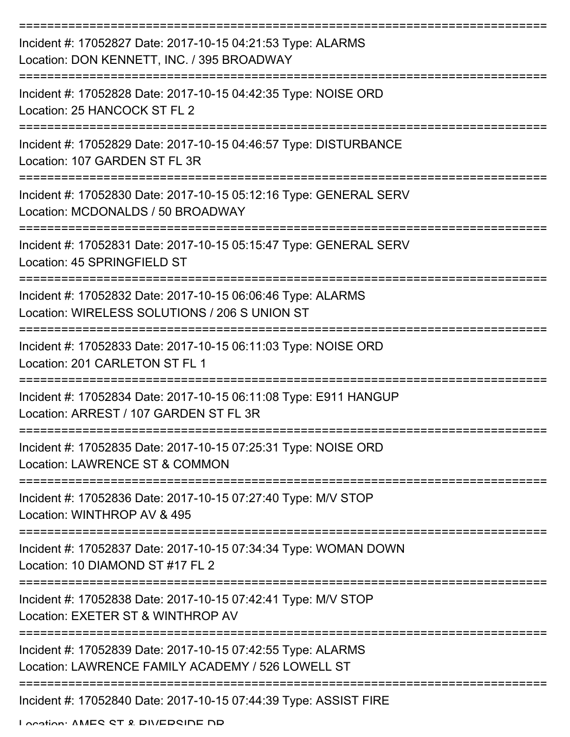| Incident #: 17052827 Date: 2017-10-15 04:21:53 Type: ALARMS<br>Location: DON KENNETT, INC. / 395 BROADWAY        |
|------------------------------------------------------------------------------------------------------------------|
| Incident #: 17052828 Date: 2017-10-15 04:42:35 Type: NOISE ORD<br>Location: 25 HANCOCK ST FL 2                   |
| Incident #: 17052829 Date: 2017-10-15 04:46:57 Type: DISTURBANCE<br>Location: 107 GARDEN ST FL 3R                |
| Incident #: 17052830 Date: 2017-10-15 05:12:16 Type: GENERAL SERV<br>Location: MCDONALDS / 50 BROADWAY           |
| Incident #: 17052831 Date: 2017-10-15 05:15:47 Type: GENERAL SERV<br>Location: 45 SPRINGFIELD ST                 |
| Incident #: 17052832 Date: 2017-10-15 06:06:46 Type: ALARMS<br>Location: WIRELESS SOLUTIONS / 206 S UNION ST     |
| Incident #: 17052833 Date: 2017-10-15 06:11:03 Type: NOISE ORD<br>Location: 201 CARLETON ST FL 1                 |
| Incident #: 17052834 Date: 2017-10-15 06:11:08 Type: E911 HANGUP<br>Location: ARREST / 107 GARDEN ST FL 3R       |
| Incident #: 17052835 Date: 2017-10-15 07:25:31 Type: NOISE ORD<br>Location: LAWRENCE ST & COMMON                 |
| Incident #: 17052836 Date: 2017-10-15 07:27:40 Type: M/V STOP<br>Location: WINTHROP AV & 495                     |
| Incident #: 17052837 Date: 2017-10-15 07:34:34 Type: WOMAN DOWN<br>Location: 10 DIAMOND ST #17 FL 2              |
| Incident #: 17052838 Date: 2017-10-15 07:42:41 Type: M/V STOP<br>Location: EXETER ST & WINTHROP AV               |
| Incident #: 17052839 Date: 2017-10-15 07:42:55 Type: ALARMS<br>Location: LAWRENCE FAMILY ACADEMY / 526 LOWELL ST |
| Incident #: 17052840 Date: 2017-10-15 07:44:39 Type: ASSIST FIRE<br>I anation: AMEC CT & DIMEDCINE ND            |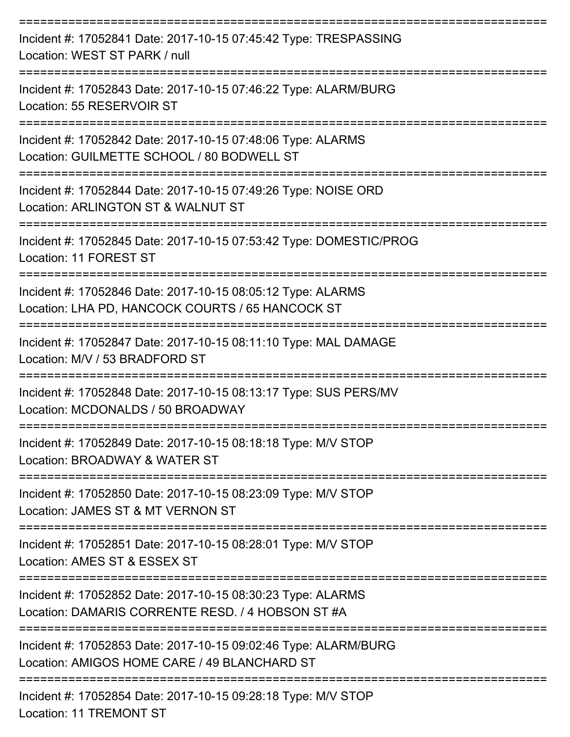| Incident #: 17052841 Date: 2017-10-15 07:45:42 Type: TRESPASSING<br>Location: WEST ST PARK / null                |
|------------------------------------------------------------------------------------------------------------------|
| Incident #: 17052843 Date: 2017-10-15 07:46:22 Type: ALARM/BURG<br>Location: 55 RESERVOIR ST                     |
| Incident #: 17052842 Date: 2017-10-15 07:48:06 Type: ALARMS<br>Location: GUILMETTE SCHOOL / 80 BODWELL ST        |
| Incident #: 17052844 Date: 2017-10-15 07:49:26 Type: NOISE ORD<br>Location: ARLINGTON ST & WALNUT ST             |
| Incident #: 17052845 Date: 2017-10-15 07:53:42 Type: DOMESTIC/PROG<br>Location: 11 FOREST ST                     |
| Incident #: 17052846 Date: 2017-10-15 08:05:12 Type: ALARMS<br>Location: LHA PD, HANCOCK COURTS / 65 HANCOCK ST  |
| Incident #: 17052847 Date: 2017-10-15 08:11:10 Type: MAL DAMAGE<br>Location: M/V / 53 BRADFORD ST                |
| Incident #: 17052848 Date: 2017-10-15 08:13:17 Type: SUS PERS/MV<br>Location: MCDONALDS / 50 BROADWAY            |
| Incident #: 17052849 Date: 2017-10-15 08:18:18 Type: M/V STOP<br>Location: BROADWAY & WATER ST                   |
| Incident #: 17052850 Date: 2017-10-15 08:23:09 Type: M/V STOP<br>Location: JAMES ST & MT VERNON ST               |
| Incident #: 17052851 Date: 2017-10-15 08:28:01 Type: M/V STOP<br>Location: AMES ST & ESSEX ST                    |
| Incident #: 17052852 Date: 2017-10-15 08:30:23 Type: ALARMS<br>Location: DAMARIS CORRENTE RESD. / 4 HOBSON ST #A |
| Incident #: 17052853 Date: 2017-10-15 09:02:46 Type: ALARM/BURG<br>Location: AMIGOS HOME CARE / 49 BLANCHARD ST  |
| --------------------------------<br>Incident #: 17052854 Date: 2017-10-15 09:28:18 Type: M/V STOP<br>L           |

Location: 11 IREMONT ST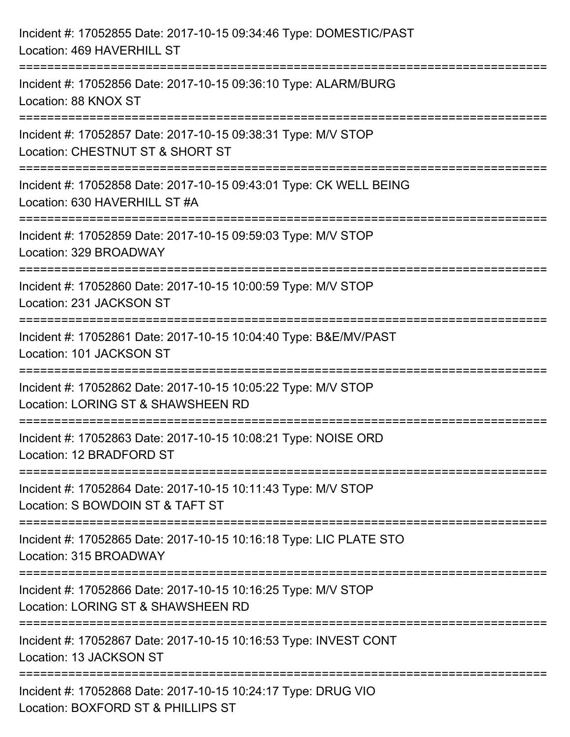| Incident #: 17052855 Date: 2017-10-15 09:34:46 Type: DOMESTIC/PAST<br>Location: 469 HAVERHILL ST                                                         |
|----------------------------------------------------------------------------------------------------------------------------------------------------------|
| ;===================================<br>Incident #: 17052856 Date: 2017-10-15 09:36:10 Type: ALARM/BURG<br>Location: 88 KNOX ST                          |
| Incident #: 17052857 Date: 2017-10-15 09:38:31 Type: M/V STOP<br>Location: CHESTNUT ST & SHORT ST                                                        |
| ======================<br>Incident #: 17052858 Date: 2017-10-15 09:43:01 Type: CK WELL BEING<br>Location: 630 HAVERHILL ST #A<br>----------------------- |
| Incident #: 17052859 Date: 2017-10-15 09:59:03 Type: M/V STOP<br>Location: 329 BROADWAY                                                                  |
| Incident #: 17052860 Date: 2017-10-15 10:00:59 Type: M/V STOP<br>Location: 231 JACKSON ST                                                                |
| Incident #: 17052861 Date: 2017-10-15 10:04:40 Type: B&E/MV/PAST<br>Location: 101 JACKSON ST                                                             |
| Incident #: 17052862 Date: 2017-10-15 10:05:22 Type: M/V STOP<br>Location: LORING ST & SHAWSHEEN RD                                                      |
| Incident #: 17052863 Date: 2017-10-15 10:08:21 Type: NOISE ORD<br>Location: 12 BRADFORD ST                                                               |
| Incident #: 17052864 Date: 2017-10-15 10:11:43 Type: M/V STOP<br>Location: S BOWDOIN ST & TAFT ST                                                        |
| Incident #: 17052865 Date: 2017-10-15 10:16:18 Type: LIC PLATE STO<br>Location: 315 BROADWAY                                                             |
| Incident #: 17052866 Date: 2017-10-15 10:16:25 Type: M/V STOP<br>Location: LORING ST & SHAWSHEEN RD                                                      |
| Incident #: 17052867 Date: 2017-10-15 10:16:53 Type: INVEST CONT<br>Location: 13 JACKSON ST                                                              |
| Incident #: 17052868 Date: 2017-10-15 10:24:17 Type: DRUG VIO<br>Location: BOXFORD ST & PHILLIPS ST                                                      |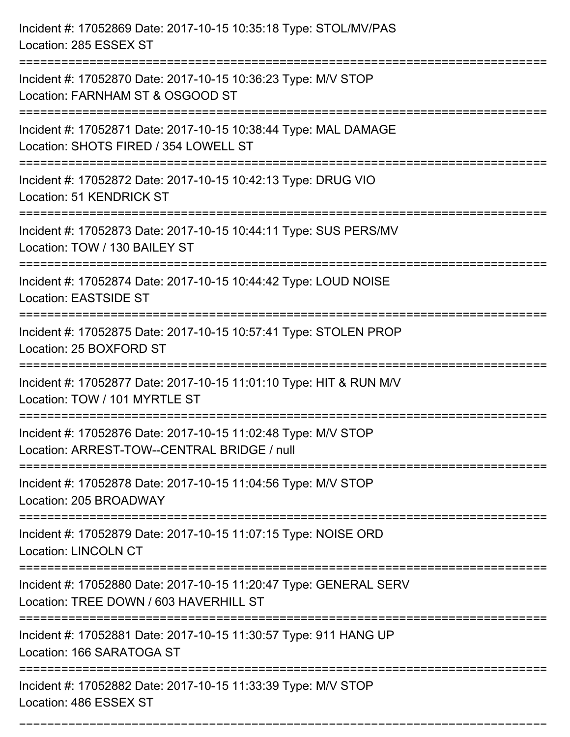| Incident #: 17052869 Date: 2017-10-15 10:35:18 Type: STOL/MV/PAS<br>Location: 285 ESSEX ST                                                |
|-------------------------------------------------------------------------------------------------------------------------------------------|
| Incident #: 17052870 Date: 2017-10-15 10:36:23 Type: M/V STOP<br>Location: FARNHAM ST & OSGOOD ST                                         |
| Incident #: 17052871 Date: 2017-10-15 10:38:44 Type: MAL DAMAGE<br>Location: SHOTS FIRED / 354 LOWELL ST<br>:============================ |
| Incident #: 17052872 Date: 2017-10-15 10:42:13 Type: DRUG VIO<br><b>Location: 51 KENDRICK ST</b>                                          |
| Incident #: 17052873 Date: 2017-10-15 10:44:11 Type: SUS PERS/MV<br>Location: TOW / 130 BAILEY ST                                         |
| Incident #: 17052874 Date: 2017-10-15 10:44:42 Type: LOUD NOISE<br><b>Location: EASTSIDE ST</b>                                           |
| Incident #: 17052875 Date: 2017-10-15 10:57:41 Type: STOLEN PROP<br>Location: 25 BOXFORD ST                                               |
| Incident #: 17052877 Date: 2017-10-15 11:01:10 Type: HIT & RUN M/V<br>Location: TOW / 101 MYRTLE ST                                       |
| Incident #: 17052876 Date: 2017-10-15 11:02:48 Type: M/V STOP<br>Location: ARREST-TOW--CENTRAL BRIDGE / null                              |
| Incident #: 17052878 Date: 2017-10-15 11:04:56 Type: M/V STOP<br>Location: 205 BROADWAY<br>----------------------------                   |
| Incident #: 17052879 Date: 2017-10-15 11:07:15 Type: NOISE ORD<br><b>Location: LINCOLN CT</b>                                             |
| Incident #: 17052880 Date: 2017-10-15 11:20:47 Type: GENERAL SERV<br>Location: TREE DOWN / 603 HAVERHILL ST                               |
| Incident #: 17052881 Date: 2017-10-15 11:30:57 Type: 911 HANG UP<br>Location: 166 SARATOGA ST                                             |
| Incident #: 17052882 Date: 2017-10-15 11:33:39 Type: M/V STOP<br>Location: 486 ESSEX ST                                                   |

===========================================================================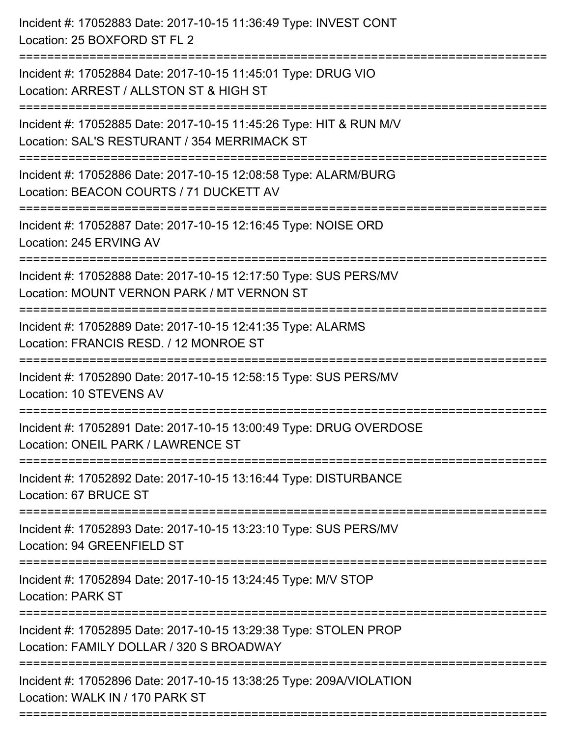| :==================== | Incident #: 17052883 Date: 2017-10-15 11:36:49 Type: INVEST CONT<br>Location: 25 BOXFORD ST FL 2                   |
|-----------------------|--------------------------------------------------------------------------------------------------------------------|
|                       | Incident #: 17052884 Date: 2017-10-15 11:45:01 Type: DRUG VIO<br>Location: ARREST / ALLSTON ST & HIGH ST           |
|                       | Incident #: 17052885 Date: 2017-10-15 11:45:26 Type: HIT & RUN M/V<br>Location: SAL'S RESTURANT / 354 MERRIMACK ST |
|                       | Incident #: 17052886 Date: 2017-10-15 12:08:58 Type: ALARM/BURG<br>Location: BEACON COURTS / 71 DUCKETT AV         |
|                       | Incident #: 17052887 Date: 2017-10-15 12:16:45 Type: NOISE ORD<br>Location: 245 ERVING AV                          |
|                       | Incident #: 17052888 Date: 2017-10-15 12:17:50 Type: SUS PERS/MV<br>Location: MOUNT VERNON PARK / MT VERNON ST     |
|                       | Incident #: 17052889 Date: 2017-10-15 12:41:35 Type: ALARMS<br>Location: FRANCIS RESD. / 12 MONROE ST              |
|                       | Incident #: 17052890 Date: 2017-10-15 12:58:15 Type: SUS PERS/MV<br><b>Location: 10 STEVENS AV</b>                 |
|                       | Incident #: 17052891 Date: 2017-10-15 13:00:49 Type: DRUG OVERDOSE<br>Location: ONEIL PARK / LAWRENCE ST           |
|                       | Incident #: 17052892 Date: 2017-10-15 13:16:44 Type: DISTURBANCE<br>Location: 67 BRUCE ST                          |
|                       | Incident #: 17052893 Date: 2017-10-15 13:23:10 Type: SUS PERS/MV<br>Location: 94 GREENFIELD ST                     |
|                       | Incident #: 17052894 Date: 2017-10-15 13:24:45 Type: M/V STOP<br><b>Location: PARK ST</b>                          |
|                       | Incident #: 17052895 Date: 2017-10-15 13:29:38 Type: STOLEN PROP<br>Location: FAMILY DOLLAR / 320 S BROADWAY       |
|                       | Incident #: 17052896 Date: 2017-10-15 13:38:25 Type: 209A/VIOLATION<br>Location: WALK IN / 170 PARK ST             |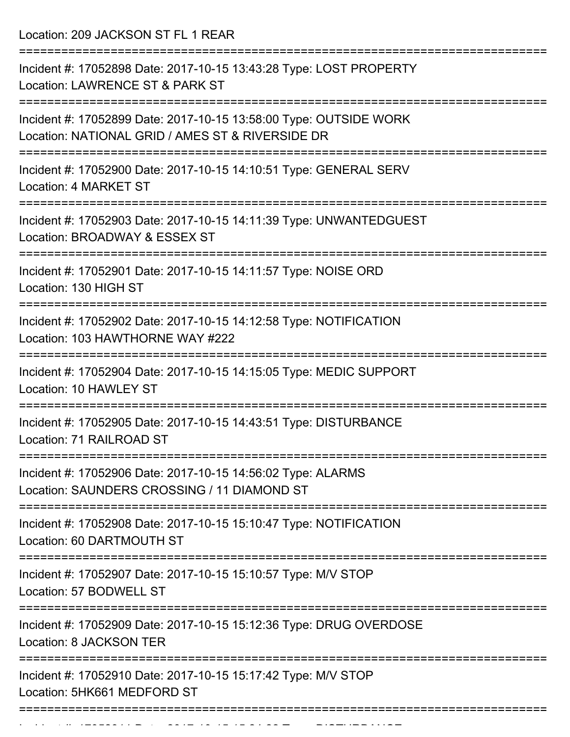Location: 209 JACKSON ST FL 1 REAR

| Incident #: 17052898 Date: 2017-10-15 13:43:28 Type: LOST PROPERTY<br>Location: LAWRENCE ST & PARK ST                 |
|-----------------------------------------------------------------------------------------------------------------------|
| Incident #: 17052899 Date: 2017-10-15 13:58:00 Type: OUTSIDE WORK<br>Location: NATIONAL GRID / AMES ST & RIVERSIDE DR |
| Incident #: 17052900 Date: 2017-10-15 14:10:51 Type: GENERAL SERV<br>Location: 4 MARKET ST                            |
| Incident #: 17052903 Date: 2017-10-15 14:11:39 Type: UNWANTEDGUEST<br>Location: BROADWAY & ESSEX ST                   |
| Incident #: 17052901 Date: 2017-10-15 14:11:57 Type: NOISE ORD<br>Location: 130 HIGH ST                               |
| Incident #: 17052902 Date: 2017-10-15 14:12:58 Type: NOTIFICATION<br>Location: 103 HAWTHORNE WAY #222                 |
| Incident #: 17052904 Date: 2017-10-15 14:15:05 Type: MEDIC SUPPORT<br>Location: 10 HAWLEY ST                          |
| Incident #: 17052905 Date: 2017-10-15 14:43:51 Type: DISTURBANCE<br>Location: 71 RAILROAD ST                          |
| Incident #: 17052906 Date: 2017-10-15 14:56:02 Type: ALARMS<br>Location: SAUNDERS CROSSING / 11 DIAMOND ST            |
| Incident #: 17052908 Date: 2017-10-15 15:10:47 Type: NOTIFICATION<br>Location: 60 DARTMOUTH ST                        |
| Incident #: 17052907 Date: 2017-10-15 15:10:57 Type: M/V STOP<br>Location: 57 BODWELL ST                              |
| Incident #: 17052909 Date: 2017-10-15 15:12:36 Type: DRUG OVERDOSE<br>Location: 8 JACKSON TER                         |
| Incident #: 17052910 Date: 2017-10-15 15:17:42 Type: M/V STOP<br>Location: 5HK661 MEDFORD ST                          |
|                                                                                                                       |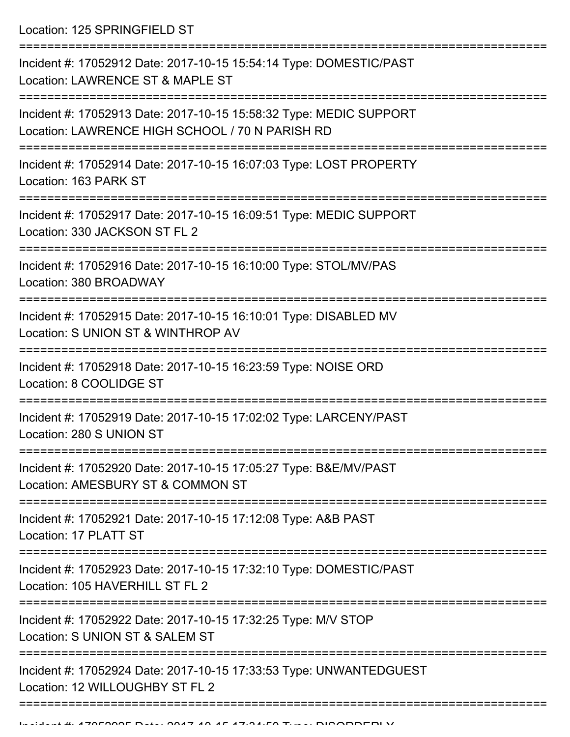Location: 125 SPRINGFIELD ST

| Incident #: 17052912 Date: 2017-10-15 15:54:14 Type: DOMESTIC/PAST<br>Location: LAWRENCE ST & MAPLE ST                |
|-----------------------------------------------------------------------------------------------------------------------|
| Incident #: 17052913 Date: 2017-10-15 15:58:32 Type: MEDIC SUPPORT<br>Location: LAWRENCE HIGH SCHOOL / 70 N PARISH RD |
| Incident #: 17052914 Date: 2017-10-15 16:07:03 Type: LOST PROPERTY<br>Location: 163 PARK ST                           |
| Incident #: 17052917 Date: 2017-10-15 16:09:51 Type: MEDIC SUPPORT<br>Location: 330 JACKSON ST FL 2                   |
| Incident #: 17052916 Date: 2017-10-15 16:10:00 Type: STOL/MV/PAS<br>Location: 380 BROADWAY                            |
| Incident #: 17052915 Date: 2017-10-15 16:10:01 Type: DISABLED MV<br>Location: S UNION ST & WINTHROP AV                |
| Incident #: 17052918 Date: 2017-10-15 16:23:59 Type: NOISE ORD<br>Location: 8 COOLIDGE ST                             |
| Incident #: 17052919 Date: 2017-10-15 17:02:02 Type: LARCENY/PAST<br>Location: 280 S UNION ST                         |
| Incident #: 17052920 Date: 2017-10-15 17:05:27 Type: B&E/MV/PAST<br>Location: AMESBURY ST & COMMON ST                 |
| Incident #: 17052921 Date: 2017-10-15 17:12:08 Type: A&B PAST<br>Location: 17 PLATT ST                                |
| Incident #: 17052923 Date: 2017-10-15 17:32:10 Type: DOMESTIC/PAST<br>Location: 105 HAVERHILL ST FL 2                 |
| Incident #: 17052922 Date: 2017-10-15 17:32:25 Type: M/V STOP<br>Location: S UNION ST & SALEM ST                      |
| Incident #: 17052924 Date: 2017-10-15 17:33:53 Type: UNWANTEDGUEST<br>Location: 12 WILLOUGHBY ST FL 2                 |
|                                                                                                                       |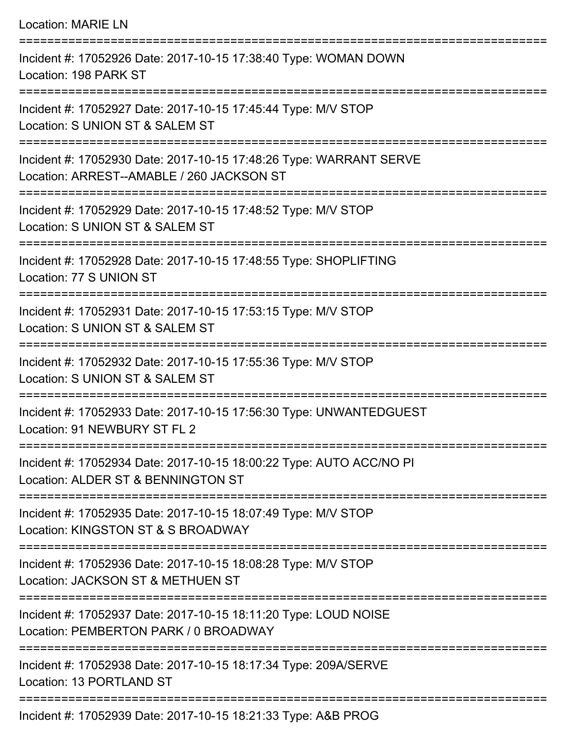| <b>Location: MARIE LN</b>                                                                                                                |
|------------------------------------------------------------------------------------------------------------------------------------------|
| Incident #: 17052926 Date: 2017-10-15 17:38:40 Type: WOMAN DOWN<br>Location: 198 PARK ST                                                 |
| Incident #: 17052927 Date: 2017-10-15 17:45:44 Type: M/V STOP<br>Location: S UNION ST & SALEM ST                                         |
| Incident #: 17052930 Date: 2017-10-15 17:48:26 Type: WARRANT SERVE<br>Location: ARREST--AMABLE / 260 JACKSON ST                          |
| Incident #: 17052929 Date: 2017-10-15 17:48:52 Type: M/V STOP<br>Location: S UNION ST & SALEM ST                                         |
| Incident #: 17052928 Date: 2017-10-15 17:48:55 Type: SHOPLIFTING<br>Location: 77 S UNION ST                                              |
| Incident #: 17052931 Date: 2017-10-15 17:53:15 Type: M/V STOP<br>Location: S UNION ST & SALEM ST                                         |
| Incident #: 17052932 Date: 2017-10-15 17:55:36 Type: M/V STOP<br>Location: S UNION ST & SALEM ST<br>------------------------------------ |
| Incident #: 17052933 Date: 2017-10-15 17:56:30 Type: UNWANTEDGUEST<br>Location: 91 NEWBURY ST FL 2                                       |
| Incident #: 17052934 Date: 2017-10-15 18:00:22 Type: AUTO ACC/NO PI<br>Location: ALDER ST & BENNINGTON ST                                |
| Incident #: 17052935 Date: 2017-10-15 18:07:49 Type: M/V STOP<br>Location: KINGSTON ST & S BROADWAY                                      |
| Incident #: 17052936 Date: 2017-10-15 18:08:28 Type: M/V STOP<br>Location: JACKSON ST & METHUEN ST                                       |
| Incident #: 17052937 Date: 2017-10-15 18:11:20 Type: LOUD NOISE<br>Location: PEMBERTON PARK / 0 BROADWAY                                 |
| Incident #: 17052938 Date: 2017-10-15 18:17:34 Type: 209A/SERVE<br>Location: 13 PORTLAND ST                                              |
|                                                                                                                                          |

Incident #: 17052939 Date: 2017-10-15 18:21:33 Type: A&B PROG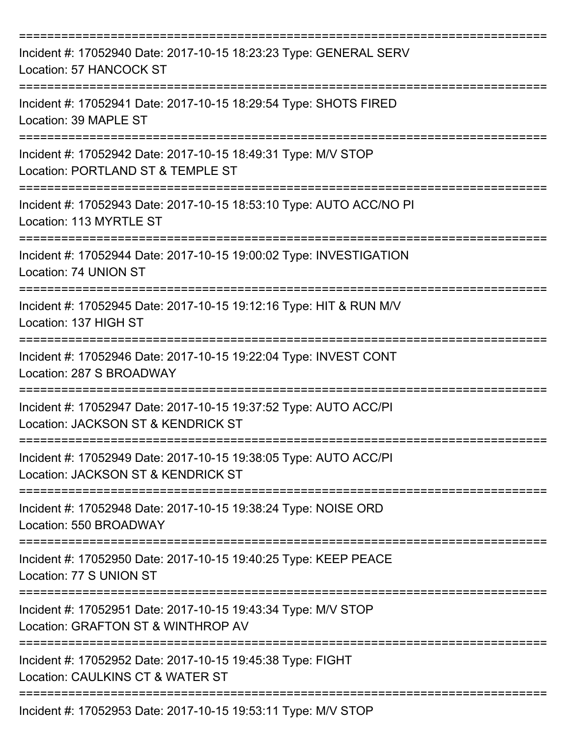| Incident #: 17052940 Date: 2017-10-15 18:23:23 Type: GENERAL SERV<br>Location: 57 HANCOCK ST           |
|--------------------------------------------------------------------------------------------------------|
| Incident #: 17052941 Date: 2017-10-15 18:29:54 Type: SHOTS FIRED<br>Location: 39 MAPLE ST              |
| Incident #: 17052942 Date: 2017-10-15 18:49:31 Type: M/V STOP<br>Location: PORTLAND ST & TEMPLE ST     |
| Incident #: 17052943 Date: 2017-10-15 18:53:10 Type: AUTO ACC/NO PI<br>Location: 113 MYRTLE ST         |
| Incident #: 17052944 Date: 2017-10-15 19:00:02 Type: INVESTIGATION<br>Location: 74 UNION ST            |
| Incident #: 17052945 Date: 2017-10-15 19:12:16 Type: HIT & RUN M/V<br>Location: 137 HIGH ST            |
| Incident #: 17052946 Date: 2017-10-15 19:22:04 Type: INVEST CONT<br>Location: 287 S BROADWAY           |
| Incident #: 17052947 Date: 2017-10-15 19:37:52 Type: AUTO ACC/PI<br>Location: JACKSON ST & KENDRICK ST |
| Incident #: 17052949 Date: 2017-10-15 19:38:05 Type: AUTO ACC/PI<br>Location: JACKSON ST & KENDRICK ST |
| Incident #: 17052948 Date: 2017-10-15 19:38:24 Type: NOISE ORD<br>Location: 550 BROADWAY               |
| Incident #: 17052950 Date: 2017-10-15 19:40:25 Type: KEEP PEACE<br>Location: 77 S UNION ST             |
| Incident #: 17052951 Date: 2017-10-15 19:43:34 Type: M/V STOP<br>Location: GRAFTON ST & WINTHROP AV    |
| Incident #: 17052952 Date: 2017-10-15 19:45:38 Type: FIGHT<br>Location: CAULKINS CT & WATER ST         |
| Incident #: 17052953 Date: 2017-10-15 19:53:11 Type: M/V STOP                                          |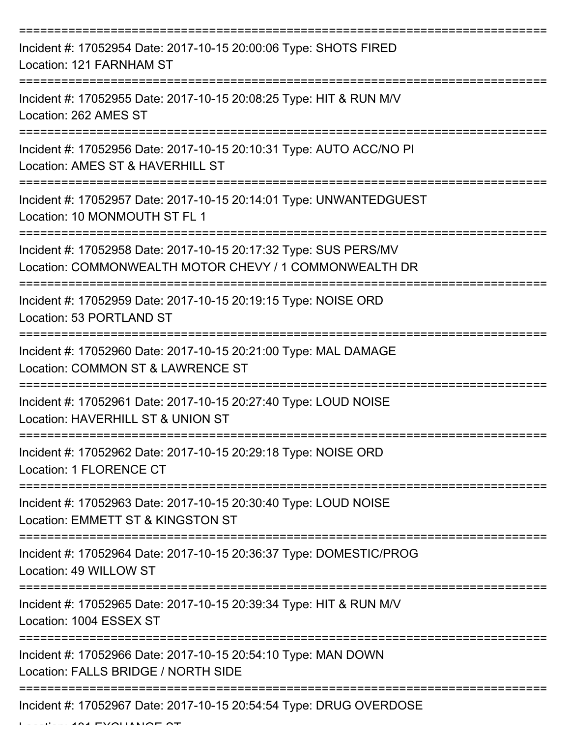| Incident #: 17052954 Date: 2017-10-15 20:00:06 Type: SHOTS FIRED<br>Location: 121 FARNHAM ST                               |
|----------------------------------------------------------------------------------------------------------------------------|
| Incident #: 17052955 Date: 2017-10-15 20:08:25 Type: HIT & RUN M/V<br>Location: 262 AMES ST                                |
| Incident #: 17052956 Date: 2017-10-15 20:10:31 Type: AUTO ACC/NO PI<br>Location: AMES ST & HAVERHILL ST                    |
| Incident #: 17052957 Date: 2017-10-15 20:14:01 Type: UNWANTEDGUEST<br>Location: 10 MONMOUTH ST FL 1                        |
| Incident #: 17052958 Date: 2017-10-15 20:17:32 Type: SUS PERS/MV<br>Location: COMMONWEALTH MOTOR CHEVY / 1 COMMONWEALTH DR |
| Incident #: 17052959 Date: 2017-10-15 20:19:15 Type: NOISE ORD<br>Location: 53 PORTLAND ST                                 |
| Incident #: 17052960 Date: 2017-10-15 20:21:00 Type: MAL DAMAGE<br>Location: COMMON ST & LAWRENCE ST                       |
| Incident #: 17052961 Date: 2017-10-15 20:27:40 Type: LOUD NOISE<br>Location: HAVERHILL ST & UNION ST                       |
| Incident #: 17052962 Date: 2017-10-15 20:29:18 Type: NOISE ORD<br>Location: 1 FLORENCE CT                                  |
| Incident #: 17052963 Date: 2017-10-15 20:30:40 Type: LOUD NOISE<br>Location: EMMETT ST & KINGSTON ST                       |
| Incident #: 17052964 Date: 2017-10-15 20:36:37 Type: DOMESTIC/PROG<br>Location: 49 WILLOW ST                               |
| Incident #: 17052965 Date: 2017-10-15 20:39:34 Type: HIT & RUN M/V<br>Location: 1004 ESSEX ST                              |
| Incident #: 17052966 Date: 2017-10-15 20:54:10 Type: MAN DOWN<br>Location: FALLS BRIDGE / NORTH SIDE                       |
| Incident #: 17052967 Date: 2017-10-15 20:54:54 Type: DRUG OVERDOSE                                                         |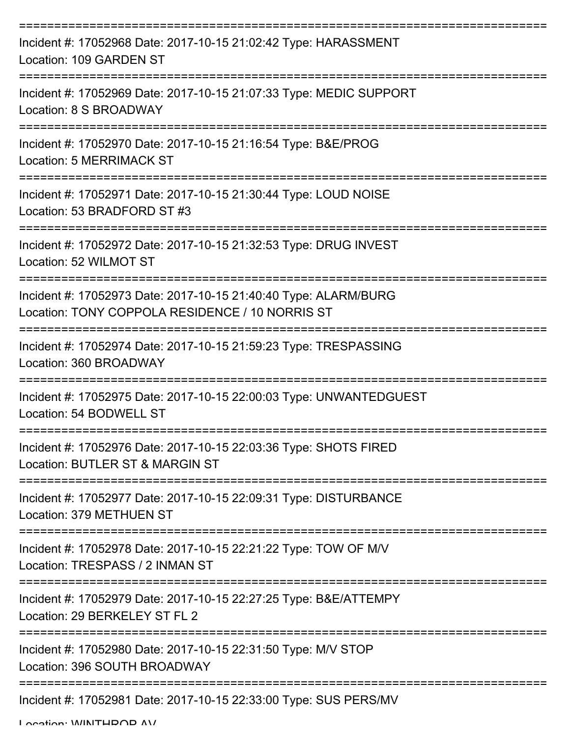| Incident #: 17052968 Date: 2017-10-15 21:02:42 Type: HARASSMENT<br>Location: 109 GARDEN ST                         |
|--------------------------------------------------------------------------------------------------------------------|
| Incident #: 17052969 Date: 2017-10-15 21:07:33 Type: MEDIC SUPPORT<br>Location: 8 S BROADWAY                       |
| Incident #: 17052970 Date: 2017-10-15 21:16:54 Type: B&E/PROG<br><b>Location: 5 MERRIMACK ST</b>                   |
| Incident #: 17052971 Date: 2017-10-15 21:30:44 Type: LOUD NOISE<br>Location: 53 BRADFORD ST #3                     |
| Incident #: 17052972 Date: 2017-10-15 21:32:53 Type: DRUG INVEST<br>Location: 52 WILMOT ST                         |
| Incident #: 17052973 Date: 2017-10-15 21:40:40 Type: ALARM/BURG<br>Location: TONY COPPOLA RESIDENCE / 10 NORRIS ST |
| Incident #: 17052974 Date: 2017-10-15 21:59:23 Type: TRESPASSING<br>Location: 360 BROADWAY                         |
| Incident #: 17052975 Date: 2017-10-15 22:00:03 Type: UNWANTEDGUEST<br>Location: 54 BODWELL ST                      |
| Incident #: 17052976 Date: 2017-10-15 22:03:36 Type: SHOTS FIRED<br>Location: BUTLER ST & MARGIN ST                |
| Incident #: 17052977 Date: 2017-10-15 22:09:31 Type: DISTURBANCE<br>Location: 379 METHUEN ST                       |
| Incident #: 17052978 Date: 2017-10-15 22:21:22 Type: TOW OF M/V<br>Location: TRESPASS / 2 INMAN ST                 |
| Incident #: 17052979 Date: 2017-10-15 22:27:25 Type: B&E/ATTEMPY<br>Location: 29 BERKELEY ST FL 2                  |
| Incident #: 17052980 Date: 2017-10-15 22:31:50 Type: M/V STOP<br>Location: 396 SOUTH BROADWAY                      |
| Incident #: 17052981 Date: 2017-10-15 22:33:00 Type: SUS PERS/MV                                                   |

Location: WINTHDOD AV